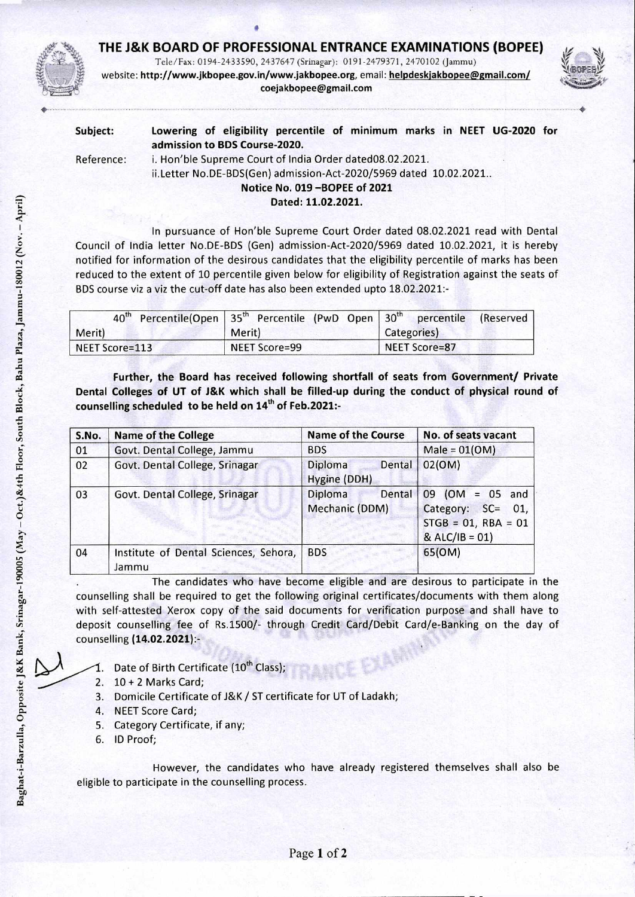## **THE J&K BOARD OF PROFESSIONAL ENTRANCE EXAMINATIONS (BOPEE)**



Tele/Fax: 0194-2433590, 2437647 (Srinagar): 0191-2479371, 2470102 (Jammu) website: http://www.jkbopee.gov.in/www.jakbopee.org,email: **helpdeskjakbopee@gmail.com/ coejakbopee@gmail.com** 



| Subject:   | Lowering of eligibility percentile of minimum marks in NEET UG-2020 for<br>admission to BDS Course-2020.                      |
|------------|-------------------------------------------------------------------------------------------------------------------------------|
| Reference: | i. Hon'ble Supreme Court of India Order dated08.02.2021.<br>ii.Letter No.DE-BDS(Gen) admission-Act-2020/5969 dated 10.02.2021 |
|            | Notice No. 019-BOPEE of 2021                                                                                                  |
|            | Dated: 11.02.2021.                                                                                                            |

In pursuance of Hon'ble Supreme Court Order dated 08.02.2021 read with Dental Council of India letter No.DE-BDS (Gen) admission-Act-2020/5969 dated 10.02.2021, it is hereby notified for information of the desirous candidates that the eligibility percentile of marks has been reduced to the extent of 10 percentile given below for eligibility of Registration against the seats of BDS course viz a viz the cut-off date has also been extended upto 18.02.2021:-

|                | 40 <sup>th</sup> Percentile(Open 35 <sup>th</sup> Percentile (PwD Open 30 <sup>th</sup> percentile (Reserved |               |
|----------------|--------------------------------------------------------------------------------------------------------------|---------------|
| Merit)         | Merit)                                                                                                       | Categories)   |
| NEET Score=113 | NEET Score=99                                                                                                | NEET Score=87 |

**Further, the Board has received following shortfall of seats from Government/ Private Dental Colleges of UT of J&K which shall be filled-up during the conduct of physical round of**  counselling scheduled to be held on 14<sup>th</sup> of Feb.2021:-

| S.No. | <b>Name of the College</b>                     | <b>Name of the Course</b>           | No. of seats vacant                                                                 |
|-------|------------------------------------------------|-------------------------------------|-------------------------------------------------------------------------------------|
| 01    | Govt. Dental College, Jammu                    | <b>BDS</b>                          | $Male = 01(OM)$                                                                     |
| 02    | Govt. Dental College, Srinagar                 | Diploma<br>Dental<br>Hygine (DDH)   | O2(OM)                                                                              |
| 03    | Govt. Dental College, Srinagar                 | Diploma<br>Dental<br>Mechanic (DDM) | $09$ (OM = 05 and<br>Category: SC= 01,<br>$STGB = 01, RBA = 01$<br>$&$ ALC/IB = 01) |
| 04    | Institute of Dental Sciences, Sehora,<br>Jammu | <b>BDS</b>                          | 65(OM)                                                                              |

The candidates who have become eligible and are desirous to participate in the counselling shall be required to get the following original certificates/documents with them along with self-attested Xerox copy of the said documents for verification purpose and shall have to deposit counselling fee of Rs.1500/- through Credit Card/Debit Card/e-Banking on the day of counselling **(14.02.2021):-** 

- 1. Date of Birth Certificate  $(10^{th}$  Class);
- 2. 10 + 2 Marks Card;
- 3. Domicile Certificate of J&K / ST certificate for UT of Ladakh;
- 4. NEET Score Card;
- 5. Category Certificate, if any;
- 6. ID Proof;

However, the candidates who have already registered themselves shall also be eligible to participate in the counselling process.